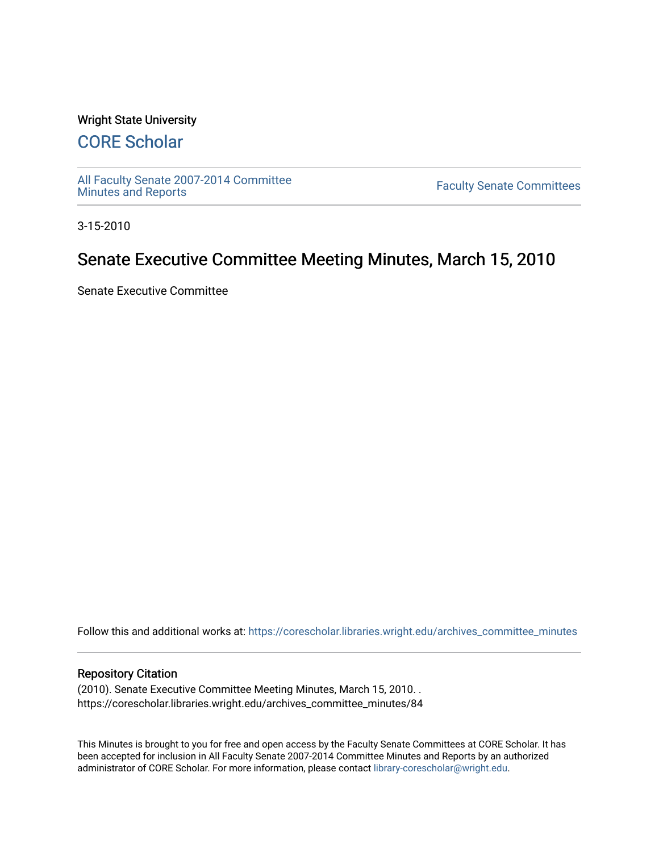#### Wright State University

# [CORE Scholar](https://corescholar.libraries.wright.edu/)

[All Faculty Senate 2007-2014 Committee](https://corescholar.libraries.wright.edu/archives_committee_minutes)

**Faculty Senate Committees** 

3-15-2010

## Senate Executive Committee Meeting Minutes, March 15, 2010

Senate Executive Committee

Follow this and additional works at: [https://corescholar.libraries.wright.edu/archives\\_committee\\_minutes](https://corescholar.libraries.wright.edu/archives_committee_minutes?utm_source=corescholar.libraries.wright.edu%2Farchives_committee_minutes%2F84&utm_medium=PDF&utm_campaign=PDFCoverPages) 

#### Repository Citation

(2010). Senate Executive Committee Meeting Minutes, March 15, 2010. . https://corescholar.libraries.wright.edu/archives\_committee\_minutes/84

This Minutes is brought to you for free and open access by the Faculty Senate Committees at CORE Scholar. It has been accepted for inclusion in All Faculty Senate 2007-2014 Committee Minutes and Reports by an authorized administrator of CORE Scholar. For more information, please contact [library-corescholar@wright.edu.](mailto:library-corescholar@wright.edu)